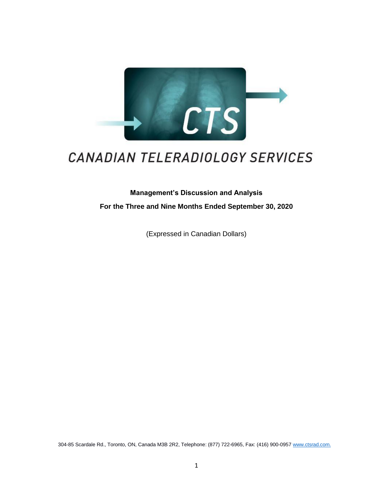

# CANADIAN TELERADIOLOGY SERVICES

**Management's Discussion and Analysis For the Three and Nine Months Ended September 30, 2020** 

(Expressed in Canadian Dollars)

304-85 Scardale Rd., Toronto, ON, Canada M3B 2R2, Telephone: (877) 722-6965, Fax: (416) 900-0957 [www.ctsrad.com.](http://www.ctsrad.com./)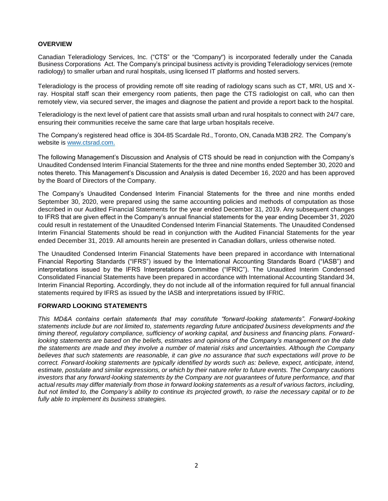# **OVERVIEW**

Canadian Teleradiology Services, Inc. ("CTS" or the "Company") is incorporated federally under the Canada Business Corporations Act. The Company's principal business activity is providing Teleradiology services (remote radiology) to smaller urban and rural hospitals, using licensed IT platforms and hosted servers.

Teleradiology is the process of providing remote off site reading of radiology scans such as CT, MRI, US and Xray. Hospital staff scan their emergency room patients, then page the CTS radiologist on call, who can then remotely view, via secured server, the images and diagnose the patient and provide a report back to the hospital.

Teleradiology is the next level of patient care that assists small urban and rural hospitals to connect with 24/7 care, ensuring their communities receive the same care that large urban hospitals receive.

The Company's registered head office is 304-85 Scardale Rd., Toronto, ON, Canada M3B 2R2. The Company's website is [www.ctsrad.com.](http://www.ctsrad.com./)

The following Management's Discussion and Analysis of CTS should be read in conjunction with the Company's Unaudited Condensed Interim Financial Statements for the three and nine months ended September 30, 2020 and notes thereto. This Management's Discussion and Analysis is dated December 16, 2020 and has been approved by the Board of Directors of the Company.

The Company's Unaudited Condensed Interim Financial Statements for the three and nine months ended September 30, 2020, were prepared using the same accounting policies and methods of computation as those described in our Audited Financial Statements for the year ended December 31, 2019. Any subsequent changes to IFRS that are given effect in the Company's annual financial statements for the year ending December 31, 2020 could result in restatement of the Unaudited Condensed Interim Financial Statements. The Unaudited Condensed Interim Financial Statements should be read in conjunction with the Audited Financial Statements for the year ended December 31, 2019. All amounts herein are presented in Canadian dollars, unless otherwise noted.

The Unaudited Condensed Interim Financial Statements have been prepared in accordance with International Financial Reporting Standards ("IFRS") issued by the International Accounting Standards Board ("IASB") and interpretations issued by the IFRS Interpretations Committee ("IFRIC"). The Unaudited Interim Condensed Consolidated Financial Statements have been prepared in accordance with International Accounting Standard 34, Interim Financial Reporting. Accordingly, they do not include all of the information required for full annual financial statements required by IFRS as issued by the IASB and interpretations issued by IFRIC.

# **FORWARD LOOKING STATEMENTS**

*This MD&A contains certain statements that may constitute "forward*‐*looking statements". Forward*‐*looking statements include but are not limited to, statements regarding future anticipated business developments and the timing thereof, regulatory compliance, sufficiency of working capital, and business and financing plans. Forwardlooking statements are based on the beliefs, estimates and opinions of the Company's management on the date the statements are made and they involve a number of material risks and uncertainties. Although the Company believes that such statements are reasonable, it can give no assurance that such expectations will prove to be correct. Forward*‐*looking statements are typically identified by words such as: believe, expect, anticipate, intend, estimate, postulate and similar expressions, or which by their nature refer to future events. The Company cautions investors that any forward*‐*looking statements by the Company are not guarantees of future performance, and that actual results may differ materially from those in forward looking statements as a result of various factors, including, but not limited to, the Company's ability to continue its projected growth, to raise the necessary capital or to be fully able to implement its business strategies.*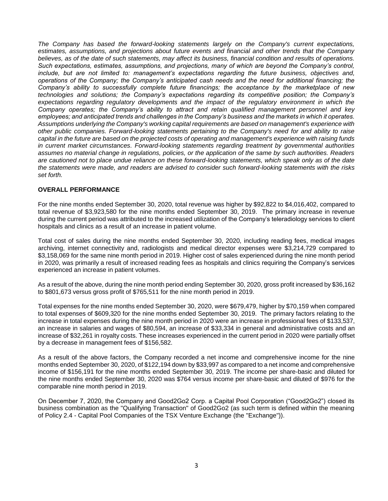*The Company has based the forward-looking statements largely on the Company's current expectations, estimates, assumptions, and projections about future events and financial and other trends that the Company believes, as of the date of such statements, may affect its business, financial condition and results of operations. Such expectations, estimates, assumptions, and projections, many of which are beyond the Company's control, include, but are not limited to: management's expectations regarding the future business, objectives and, operations of the Company; the Company's anticipated cash needs and the need for additional financing; the Company's ability to successfully complete future financings; the acceptance by the marketplace of new technologies and solutions; the Company's expectations regarding its competitive position; the Company's expectations regarding regulatory developments and the impact of the regulatory environment in which the Company operates; the Company's ability to attract and retain qualified management personnel and key employees; and anticipated trends and challenges in the Company's business and the markets in which it operates. Assumptions underlying the Company's working capital requirements are based on management's experience with other public companies. Forward-looking statements pertaining to the Company's need for and ability to raise capital in the future are based on the projected costs of operating and management's experience with raising funds in current market circumstances. Forward-looking statements regarding treatment by governmental authorities assumes no material change in regulations, policies, or the application of the same by such authorities. Readers are cautioned not to place undue reliance on these forward-looking statements, which speak only as of the date the statements were made, and readers are advised to consider such forward-looking statements with the risks set forth.*

# **OVERALL PERFORMANCE**

For the nine months ended September 30, 2020, total revenue was higher by \$92,822 to \$4,016,402, compared to total revenue of \$3,923,580 for the nine months ended September 30, 2019. The primary increase in revenue during the current period was attributed to the increased utilization of the Company's teleradiology services to client hospitals and clinics as a result of an increase in patient volume.

Total cost of sales during the nine months ended September 30, 2020, including reading fees, medical images archiving, internet connectivity and, radiologists and medical director expenses were \$3,214,729 compared to \$3,158,069 for the same nine month period in 2019. Higher cost of sales experienced during the nine month period in 2020, was primarily a result of increased reading fees as hospitals and clinics requiring the Company's services experienced an increase in patient volumes.

As a result of the above, during the nine month period ending September 30, 2020, gross profit increased by \$36,162 to \$801,673 versus gross profit of \$765,511 for the nine month period in 2019.

Total expenses for the nine months ended September 30, 2020, were \$679,479, higher by \$70,159 when compared to total expenses of \$609,320 for the nine months ended September 30, 2019. The primary factors relating to the increase in total expenses during the nine month period in 2020 were an increase in professional fees of \$133,537, an increase in salaries and wages of \$80,594, an increase of \$33,334 in general and administrative costs and an increase of \$32,261 in royalty costs. These increases experienced in the current period in 2020 were partially offset by a decrease in management fees of \$156,582.

As a result of the above factors, the Company recorded a net income and comprehensive income for the nine months ended September 30, 2020, of \$122,194 down by \$33,997 as compared to a net income and comprehensive income of \$156,191 for the nine months ended September 30, 2019. The income per share-basic and diluted for the nine months ended September 30, 2020 was \$764 versus income per share-basic and diluted of \$976 for the comparable nine month period in 2019.

On December 7, 2020, the Company and Good2Go2 Corp. a Capital Pool Corporation ("Good2Go2") closed its business combination as the "Qualifying Transaction" of Good2Go2 (as such term is defined within the meaning of Policy 2.4 - Capital Pool Companies of the TSX Venture Exchange (the "Exchange")).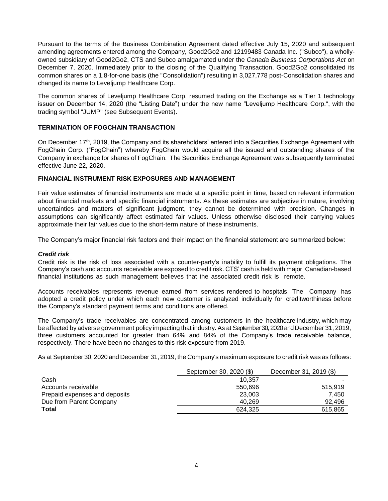Pursuant to the terms of the Business Combination Agreement dated effective July 15, 2020 and subsequent amending agreements entered among the Company, Good2Go2 and 12199483 Canada Inc. ("Subco"), a whollyowned subsidiary of Good2Go2, CTS and Subco amalgamated under the *Canada Business Corporations Act* on December 7, 2020. Immediately prior to the closing of the Qualifying Transaction, Good2Go2 consolidated its common shares on a 1.8-for-one basis (the "Consolidation") resulting in 3,027,778 post-Consolidation shares and changed its name to Leveljump Healthcare Corp.

The common shares of Leveljump Healthcare Corp. resumed trading on the Exchange as a Tier 1 technology issuer on December 14, 2020 (the "Listing Date") under the new name "Leveljump Healthcare Corp.", with the trading symbol "JUMP" (see Subsequent Events).

# **TERMINATION OF FOGCHAIN TRANSACTION**

On December 17th, 2019, the Company and its shareholders' entered into a Securities Exchange Agreement with FogChain Corp. ("FogChain") whereby FogChain would acquire all the issued and outstanding shares of the Company in exchange for shares of FogChain. The Securities Exchange Agreement was subsequently terminated effective June 22, 2020.

# **FINANCIAL INSTRUMENT RISK EXPOSURES AND MANAGEMENT**

Fair value estimates of financial instruments are made at a specific point in time, based on relevant information about financial markets and specific financial instruments. As these estimates are subjective in nature, involving uncertainties and matters of significant judgment, they cannot be determined with precision. Changes in assumptions can significantly affect estimated fair values. Unless otherwise disclosed their carrying values approximate their fair values due to the short-term nature of these instruments.

The Company's major financial risk factors and their impact on the financial statement are summarized below:

# *Credit risk*

Credit risk is the risk of loss associated with a counter-party's inability to fulfill its payment obligations. The Company's cash and accounts receivable are exposed to credit risk. CTS' cash is held with major Canadian-based financial institutions as such management believes that the associated credit risk is remote.

Accounts receivables represents revenue earned from services rendered to hospitals. The Company has adopted a credit policy under which each new customer is analyzed individually for creditworthiness before the Company's standard payment terms and conditions are offered.

The Company's trade receivables are concentrated among customers in the healthcare industry, which may be affected by adverse government policy impacting that industry. As at September 30, 2020 and December 31, 2019, three customers accounted for greater than 64% and 84% of the Company's trade receivable balance, respectively. There have been no changes to this risk exposure from 2019.

As at September 30, 2020 and December 31, 2019, the Company's maximum exposure to credit risk was as follows:

|                               | September 30, 2020 (\$) | December 31, 2019 (\$) |
|-------------------------------|-------------------------|------------------------|
| Cash                          | 10.357                  |                        |
| Accounts receivable           | 550.696                 | 515.919                |
| Prepaid expenses and deposits | 23,003                  | 7.450                  |
| Due from Parent Company       | 40.269                  | 92.496                 |
| Total                         | 624.325                 | 615,865                |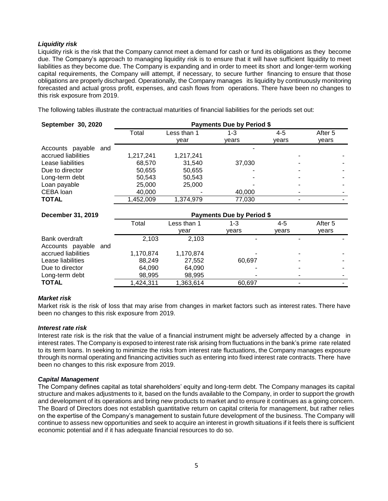# *Liquidity risk*

Liquidity risk is the risk that the Company cannot meet a demand for cash or fund its obligations as they become due. The Company's approach to managing liquidity risk is to ensure that it will have sufficient liquidity to meet liabilities as they become due. The Company is expanding and in order to meet its short and longer-term working capital requirements, the Company will attempt, if necessary, to secure further financing to ensure that those obligations are properly discharged. Operationally, the Company manages its liquidity by continuously monitoring forecasted and actual gross profit, expenses, and cash flows from operations. There have been no changes to this risk exposure from 2019.

The following tables illustrate the contractual maturities of financial liabilities for the periods set out:

| September 30, 2020   | <b>Payments Due by Period \$</b> |             |        |         |         |
|----------------------|----------------------------------|-------------|--------|---------|---------|
|                      | Total                            | Less than 1 | 1-3    | $4 - 5$ | After 5 |
|                      |                                  | vear        | vears  | vears   | years   |
| Accounts payable and |                                  |             |        |         |         |
| accrued liabilities  | 1,217,241                        | 1,217,241   |        |         |         |
| Lease liabilities    | 68,570                           | 31.540      | 37,030 |         |         |
| Due to director      | 50,655                           | 50,655      |        |         |         |
| Long-term debt       | 50,543                           | 50,543      |        |         |         |
| Loan payable         | 25,000                           | 25,000      |        |         |         |
| CEBA loan            | 40,000                           |             | 40,000 |         |         |
| <b>TOTAL</b>         | 1.452.009                        | 1.374.979   | 77,030 |         |         |

| December 31, 2019    | <b>Payments Due by Period \$</b> |             |        |         |         |
|----------------------|----------------------------------|-------------|--------|---------|---------|
|                      | Total                            | Less than 1 | 1-3    | $4 - 5$ | After 5 |
|                      |                                  | vear        | vears  | vears   | vears   |
| Bank overdraft       | 2.103                            | 2.103       |        |         |         |
| Accounts payable and |                                  |             |        |         |         |
| accrued liabilities  | 1,170,874                        | 1,170,874   |        |         |         |
| Lease liabilities    | 88,249                           | 27,552      | 60,697 |         |         |
| Due to director      | 64,090                           | 64,090      |        |         |         |
| Long-term debt       | 98,995                           | 98,995      |        |         |         |
| <b>TOTAL</b>         | ,424,311                         | 1,363,614   | 60.697 |         |         |

# *Market risk*

Market risk is the risk of loss that may arise from changes in market factors such as interest rates. There have been no changes to this risk exposure from 2019.

# *Interest rate risk*

Interest rate risk is the risk that the value of a financial instrument might be adversely affected by a change in interest rates. The Company is exposed to interest rate risk arising from fluctuations in the bank's prime rate related to its term loans. In seeking to minimize the risks from interest rate fluctuations, the Company manages exposure through its normal operating and financing activities such as entering into fixed interest rate contracts. There have been no changes to this risk exposure from 2019.

# *Capital Management*

The Company defines capital as total shareholders' equity and long-term debt. The Company manages its capital structure and makes adjustments to it, based on the funds available to the Company, in order to support the growth and development of its operations and bring new products to market and to ensure it continues as a going concern. The Board of Directors does not establish quantitative return on capital criteria for management, but rather relies on the expertise of the Company's management to sustain future development of the business. The Company will continue to assess new opportunities and seek to acquire an interest in growth situations if it feels there is sufficient economic potential and if it has adequate financial resources to do so.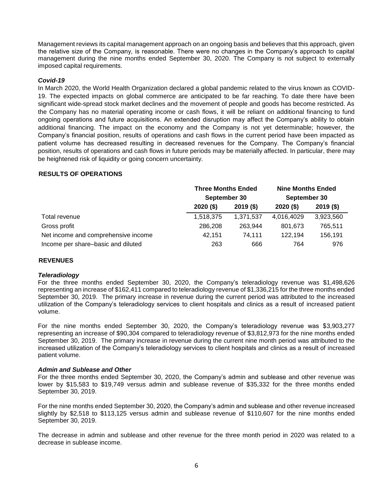Management reviews its capital management approach on an ongoing basis and believes that this approach, given the relative size of the Company, is reasonable. There were no changes in the Company's approach to capital management during the nine months ended September 30, 2020. The Company is not subject to externally imposed capital requirements.

# *Covid-19*

In March 2020, the World Health Organization declared a global pandemic related to the virus known as COVID-19. The expected impacts on global commerce are anticipated to be far reaching. To date there have been significant wide-spread stock market declines and the movement of people and goods has become restricted. As the Company has no material operating income or cash flows, it will be reliant on additional financing to fund ongoing operations and future acquisitions. An extended disruption may affect the Company's ability to obtain additional financing. The impact on the economy and the Company is not yet determinable; however, the Company's financial position, results of operations and cash flows in the current period have been impacted as patient volume has decreased resulting in decreased revenues for the Company. The Company's financial position, results of operations and cash flows in future periods may be materially affected. In particular, there may be heightened risk of liquidity or going concern uncertainty.

# **RESULTS OF OPERATIONS**

|                                     | <b>Three Months Ended</b><br>September 30 |             | <b>Nine Months Ended</b><br>September 30 |             |
|-------------------------------------|-------------------------------------------|-------------|------------------------------------------|-------------|
|                                     |                                           |             |                                          |             |
|                                     | $2020($ \$)                               | $2019($ \$) | $2020($ \$)                              | $2019($ \$) |
| Total revenue                       | 1,518,375                                 | 1,371,537   | 4,016,4029                               | 3,923,560   |
| Gross profit                        | 286,208                                   | 263.944     | 801.673                                  | 765,511     |
| Net income and comprehensive income | 42.151                                    | 74.111      | 122.194                                  | 156,191     |
| Income per share-basic and diluted  | 263                                       | 666         | 764                                      | 976         |

# **REVENUES**

# *Teleradiology*

For the three months ended September 30, 2020, the Company's teleradiology revenue was \$1,498,626 representing an increase of \$162,411 compared to teleradiology revenue of \$1,336,215 for the three months ended September 30, 2019. The primary increase in revenue during the current period was attributed to the increased utilization of the Company's teleradiology services to client hospitals and clinics as a result of increased patient volume.

For the nine months ended September 30, 2020, the Company's teleradiology revenue was \$3,903,277 representing an increase of \$90,304 compared to teleradiology revenue of \$3,812,973 for the nine months ended September 30, 2019. The primary increase in revenue during the current nine month period was attributed to the increased utilization of the Company's teleradiology services to client hospitals and clinics as a result of increased patient volume.

# *Admin and Sublease and Other*

For the three months ended September 30, 2020, the Company's admin and sublease and other revenue was lower by \$15,583 to \$19,749 versus admin and sublease revenue of \$35,332 for the three months ended September 30, 2019.

For the nine months ended September 30, 2020, the Company's admin and sublease and other revenue increased slightly by \$2,518 to \$113,125 versus admin and sublease revenue of \$110,607 for the nine months ended September 30, 2019.

The decrease in admin and sublease and other revenue for the three month period in 2020 was related to a decrease in sublease income.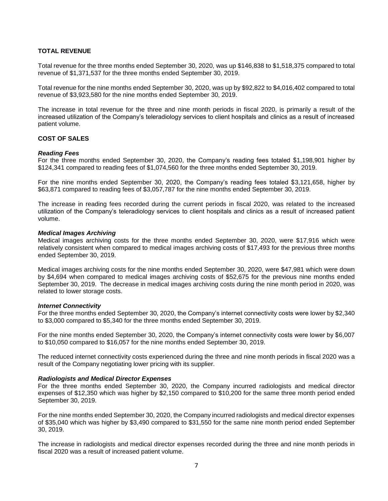# **TOTAL REVENUE**

Total revenue for the three months ended September 30, 2020, was up \$146,838 to \$1,518,375 compared to total revenue of \$1,371,537 for the three months ended September 30, 2019.

Total revenue for the nine months ended September 30, 2020, was up by \$92,822 to \$4,016,402 compared to total revenue of \$3,923,580 for the nine months ended September 30, 2019.

The increase in total revenue for the three and nine month periods in fiscal 2020, is primarily a result of the increased utilization of the Company's teleradiology services to client hospitals and clinics as a result of increased patient volume.

# **COST OF SALES**

## *Reading Fees*

For the three months ended September 30, 2020, the Company's reading fees totaled \$1,198,901 higher by \$124,341 compared to reading fees of \$1,074,560 for the three months ended September 30, 2019.

For the nine months ended September 30, 2020, the Company's reading fees totaled \$3,121,658, higher by \$63,871 compared to reading fees of \$3,057,787 for the nine months ended September 30, 2019.

The increase in reading fees recorded during the current periods in fiscal 2020, was related to the increased utilization of the Company's teleradiology services to client hospitals and clinics as a result of increased patient volume.

## *Medical Images Archiving*

Medical images archiving costs for the three months ended September 30, 2020, were \$17,916 which were relatively consistent when compared to medical images archiving costs of \$17,493 for the previous three months ended September 30, 2019.

Medical images archiving costs for the nine months ended September 30, 2020, were \$47,981 which were down by \$4,694 when compared to medical images archiving costs of \$52,675 for the previous nine months ended September 30, 2019. The decrease in medical images archiving costs during the nine month period in 2020, was related to lower storage costs.

#### *Internet Connectivity*

For the three months ended September 30, 2020, the Company's internet connectivity costs were lower by \$2,340 to \$3,000 compared to \$5,340 for the three months ended September 30, 2019.

For the nine months ended September 30, 2020, the Company's internet connectivity costs were lower by \$6,007 to \$10,050 compared to \$16,057 for the nine months ended September 30, 2019.

The reduced internet connectivity costs experienced during the three and nine month periods in fiscal 2020 was a result of the Company negotiating lower pricing with its supplier.

#### *Radiologists and Medical Director Expenses*

For the three months ended September 30, 2020, the Company incurred radiologists and medical director expenses of \$12,350 which was higher by \$2,150 compared to \$10,200 for the same three month period ended September 30, 2019.

For the nine months ended September 30, 2020, the Company incurred radiologists and medical director expenses of \$35,040 which was higher by \$3,490 compared to \$31,550 for the same nine month period ended September 30, 2019.

The increase in radiologists and medical director expenses recorded during the three and nine month periods in fiscal 2020 was a result of increased patient volume.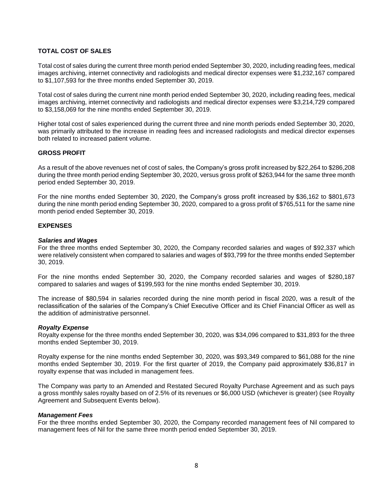# **TOTAL COST OF SALES**

Total cost of sales during the current three month period ended September 30, 2020, including reading fees, medical images archiving, internet connectivity and radiologists and medical director expenses were \$1,232,167 compared to \$1,107,593 for the three months ended September 30, 2019.

Total cost of sales during the current nine month period ended September 30, 2020, including reading fees, medical images archiving, internet connectivity and radiologists and medical director expenses were \$3,214,729 compared to \$3,158,069 for the nine months ended September 30, 2019.

Higher total cost of sales experienced during the current three and nine month periods ended September 30, 2020, was primarily attributed to the increase in reading fees and increased radiologists and medical director expenses both related to increased patient volume.

# **GROSS PROFIT**

As a result of the above revenues net of cost of sales, the Company's gross profit increased by \$22,264 to \$286,208 during the three month period ending September 30, 2020, versus gross profit of \$263,944 for the same three month period ended September 30, 2019.

For the nine months ended September 30, 2020, the Company's gross profit increased by \$36,162 to \$801,673 during the nine month period ending September 30, 2020, compared to a gross profit of \$765,511 for the same nine month period ended September 30, 2019.

# **EXPENSES**

## *Salaries and Wages*

For the three months ended September 30, 2020, the Company recorded salaries and wages of \$92,337 which were relatively consistent when compared to salaries and wages of \$93,799 for the three months ended September 30, 2019.

For the nine months ended September 30, 2020, the Company recorded salaries and wages of \$280,187 compared to salaries and wages of \$199,593 for the nine months ended September 30, 2019.

The increase of \$80,594 in salaries recorded during the nine month period in fiscal 2020, was a result of the reclassification of the salaries of the Company's Chief Executive Officer and its Chief Financial Officer as well as the addition of administrative personnel.

# *Royalty Expense*

Royalty expense for the three months ended September 30, 2020, was \$34,096 compared to \$31,893 for the three months ended September 30, 2019.

Royalty expense for the nine months ended September 30, 2020, was \$93,349 compared to \$61,088 for the nine months ended September 30, 2019. For the first quarter of 2019, the Company paid approximately \$36,817 in royalty expense that was included in management fees.

The Company was party to an Amended and Restated Secured Royalty Purchase Agreement and as such pays a gross monthly sales royalty based on of 2.5% of its revenues or \$6,000 USD (whichever is greater) (see Royalty Agreement and Subsequent Events below).

#### *Management Fees*

For the three months ended September 30, 2020, the Company recorded management fees of Nil compared to management fees of Nil for the same three month period ended September 30, 2019.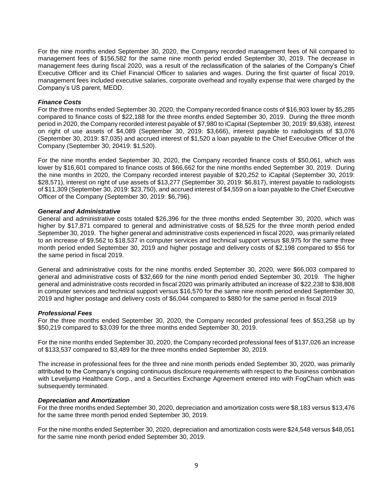For the nine months ended September 30, 2020, the Company recorded management fees of Nil compared to management fees of \$156,582 for the same nine month period ended September 30, 2019. The decrease in management fees during fiscal 2020, was a result of the reclassification of the salaries of the Company's Chief Executive Officer and its Chief Financial Officer to salaries and wages. During the first quarter of fiscal 2019, management fees included executive salaries, corporate overhead and royalty expense that were charged by the Company's US parent, MEDD.

#### *Finance Costs*

For the three months ended September 30, 2020, the Company recorded finance costs of \$16,903 lower by \$5,285 compared to finance costs of \$22,188 for the three months ended September 30, 2019. During the three month period in 2020, the Company recorded interest payable of \$7,980 to iCapital (September 30, 2019: \$9,638), interest on right of use assets of \$4,089 (September 30, 2019: \$3,666), interest payable to radiologists of \$3,076 (September 30, 2019: \$7,035) and accrued interest of \$1,520 a loan payable to the Chief Executive Officer of the Company (September 30, 20419: \$1,520).

For the nine months ended September 30, 2020, the Company recorded finance costs of \$50,061, which was lower by \$16,601 compared to finance costs of \$66,662 for the nine months ended September 30, 2019. During the nine months in 2020, the Company recorded interest payable of \$20,252 to iCapital (September 30, 2019: \$28,571), interest on right of use assets of \$13,277 (September 30, 2019: \$6,817), interest payable to radiologists of \$11,309 (September 30, 2019: \$23,750), and accrued interest of \$4,559 on a loan payable to the Chief Executive Officer of the Company (September 30, 2019: \$6,796).

## *General and Administrative*

General and administrative costs totaled \$26,396 for the three months ended September 30, 2020, which was higher by \$17,871 compared to general and administrative costs of \$8,525 for the three month period ended September 30, 2019. The higher general and administrative costs experienced in fiscal 2020, was primarily related to an increase of \$9,562 to \$18,537 in computer services and technical support versus \$8,975 for the same three month period ended September 30, 2019 and higher postage and delivery costs of \$2,198 compared to \$56 for the same period in fiscal 2019.

General and administrative costs for the nine months ended September 30, 2020, were \$66,003 compared to general and administrative costs of \$32,669 for the nine month period ended September 30, 2019. The higher general and administrative costs recorded in fiscal 2020 was primarily attributed an increase of \$22,238 to \$38,808 in computer services and technical support versus \$16,570 for the same nine month period ended September 30, 2019 and higher postage and delivery costs of \$6,044 compared to \$880 for the same period in fiscal 2019

# *Professional Fees*

For the three months ended September 30, 2020, the Company recorded professional fees of \$53,258 up by \$50,219 compared to \$3,039 for the three months ended September 30, 2019.

For the nine months ended September 30, 2020, the Company recorded professional fees of \$137,026 an increase of \$133,537 compared to \$3,489 for the three months ended September 30, 2019.

The increase in professional fees for the three and nine month periods ended September 30, 2020, was primarily attributed to the Company's ongoing continuous disclosure requirements with respect to the business combination with Leveljump Healthcare Corp., and a Securities Exchange Agreement entered into with FogChain which was subsequently terminated.

#### *Depreciation and Amortization*

For the three months ended September 30, 2020, depreciation and amortization costs were \$8,183 versus \$13,476 for the same three month period ended September 30, 2019.

For the nine months ended September 30, 2020, depreciation and amortization costs were \$24,548 versus \$48,051 for the same nine month period ended September 30, 2019.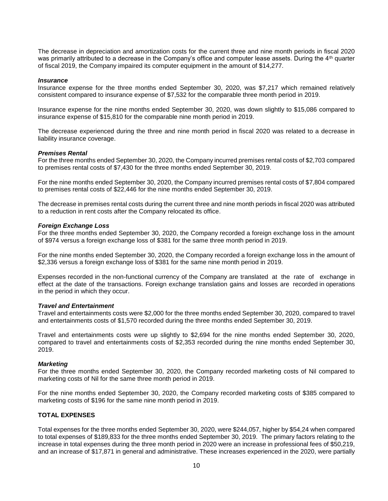The decrease in depreciation and amortization costs for the current three and nine month periods in fiscal 2020 was primarily attributed to a decrease in the Company's office and computer lease assets. During the 4<sup>th</sup> quarter of fiscal 2019, the Company impaired its computer equipment in the amount of \$14,277.

#### *Insurance*

Insurance expense for the three months ended September 30, 2020, was \$7,217 which remained relatively consistent compared to insurance expense of \$7,532 for the comparable three month period in 2019.

Insurance expense for the nine months ended September 30, 2020, was down slightly to \$15,086 compared to insurance expense of \$15,810 for the comparable nine month period in 2019.

The decrease experienced during the three and nine month period in fiscal 2020 was related to a decrease in liability insurance coverage.

#### *Premises Rental*

For the three months ended September 30, 2020, the Company incurred premises rental costs of \$2,703 compared to premises rental costs of \$7,430 for the three months ended September 30, 2019.

For the nine months ended September 30, 2020, the Company incurred premises rental costs of \$7,804 compared to premises rental costs of \$22,446 for the nine months ended September 30, 2019.

The decrease in premises rental costs during the current three and nine month periods in fiscal 2020 was attributed to a reduction in rent costs after the Company relocated its office.

# *Foreign Exchange Loss*

For the three months ended September 30, 2020, the Company recorded a foreign exchange loss in the amount of \$974 versus a foreign exchange loss of \$381 for the same three month period in 2019.

For the nine months ended September 30, 2020, the Company recorded a foreign exchange loss in the amount of \$2,336 versus a foreign exchange loss of \$381 for the same nine month period in 2019.

Expenses recorded in the non-functional currency of the Company are translated at the rate of exchange in effect at the date of the transactions. Foreign exchange translation gains and losses are recorded in operations in the period in which they occur.

#### *Travel and Entertainment*

Travel and entertainments costs were \$2,000 for the three months ended September 30, 2020, compared to travel and entertainments costs of \$1,570 recorded during the three months ended September 30, 2019.

Travel and entertainments costs were up slightly to \$2,694 for the nine months ended September 30, 2020, compared to travel and entertainments costs of \$2,353 recorded during the nine months ended September 30, 2019.

#### *Marketing*

For the three months ended September 30, 2020, the Company recorded marketing costs of Nil compared to marketing costs of Nil for the same three month period in 2019.

For the nine months ended September 30, 2020, the Company recorded marketing costs of \$385 compared to marketing costs of \$196 for the same nine month period in 2019.

# **TOTAL EXPENSES**

Total expenses for the three months ended September 30, 2020, were \$244,057, higher by \$54,24 when compared to total expenses of \$189,833 for the three months ended September 30, 2019. The primary factors relating to the increase in total expenses during the three month period in 2020 were an increase in professional fees of \$50,219, and an increase of \$17,871 in general and administrative. These increases experienced in the 2020, were partially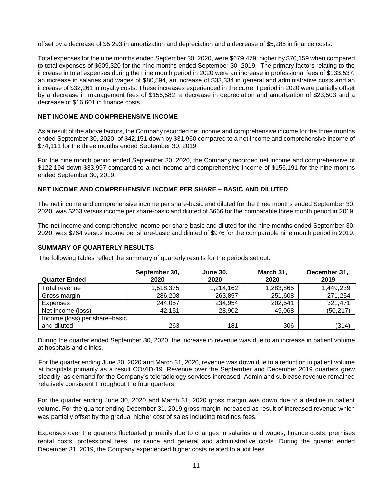offset by a decrease of \$5,293 in amortization and depreciation and a decrease of \$5,285 in finance costs.

Total expenses for the nine months ended September 30, 2020, were \$679,479, higher by \$70,159 when compared to total expenses of \$609,320 for the nine months ended September 30, 2019. The primary factors relating to the increase in total expenses during the nine month period in 2020 were an increase in professional fees of \$133,537, an increase in salaries and wages of \$80,594, an increase of \$33,334 in general and administrative costs and an increase of \$32,261 in royalty costs. These increases experienced in the current period in 2020 were partially offset by a decrease in management fees of \$156,582, a decrease in depreciation and amortization of \$23,503 and a decrease of \$16,601 in finance costs.

# **NET INCOME AND COMPREHENSIVE INCOME**

As a result of the above factors, the Company recorded net income and comprehensive income for the three months ended September 30, 2020, of \$42,151 down by \$31,960 compared to a net income and comprehensive income of \$74,111 for the three months ended September 30, 2019.

For the nine month period ended September 30, 2020, the Company recorded net income and comprehensive of \$122,194 down \$33,997 compared to a net income and comprehensive income of \$156,191 for the nine months ended September 30, 2019.

# **NET INCOME AND COMPREHENSIVE INCOME PER SHARE – BASIC AND DILUTED**

The net income and comprehensive income per share-basic and diluted for the three months ended September 30, 2020, was \$263 versus income per share-basic and diluted of \$666 for the comparable three month period in 2019.

The net income and comprehensive income per share-basic and diluted for the nine months ended September 30, 2020, was \$764 versus income per share-basic and diluted of \$976 for the comparable nine month period in 2019.

# **SUMMARY OF QUARTERLY RESULTS**

The following tables reflect the summary of quarterly results for the periods set out:

|                               | September 30, | <b>June 30,</b> | March 31, | December 31, |
|-------------------------------|---------------|-----------------|-----------|--------------|
| <b>Quarter Ended</b>          | 2020          | 2020            | 2020      | 2019         |
| Total revenue                 | 1,518,375     | 1,214,162       | 1,283,865 | 1,449,239    |
| Gross margin                  | 286,208       | 263,857         | 251,608   | 271,254      |
| Expenses                      | 244,057       | 234,954         | 202,541   | 321,471      |
| Net income (loss)             | 42.151        | 28,902          | 49,068    | (50, 217)    |
| Income (loss) per share-basic |               |                 |           |              |
| and diluted                   | 263           | 181             | 306       | (314)        |

During the quarter ended September 30, 2020, the increase in revenue was due to an increase in patient volume at hospitals and clinics.

For the quarter ending June 30, 2020 and March 31, 2020, revenue was down due to a reduction in patient volume at hospitals primarily as a result COVID-19. Revenue over the September and December 2019 quarters grew steadily, as demand for the Company's teleradiology services increased. Admin and sublease revenue remained relatively consistent throughout the four quarters.

For the quarter ending June 30, 2020 and March 31, 2020 gross margin was down due to a decline in patient volume. For the quarter ending December 31, 2019 gross margin increased as result of increased revenue which was partially offset by the gradual higher cost of sales including readings fees.

Expenses over the quarters fluctuated primarily due to changes in salaries and wages, finance costs, premises rental costs, professional fees, insurance and general and administrative costs. During the quarter ended December 31, 2019, the Company experienced higher costs related to audit fees.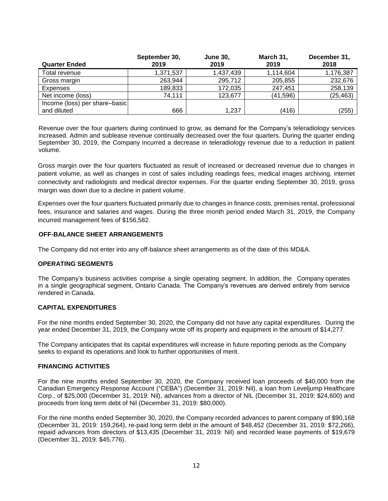|                               | September 30, | <b>June 30,</b> | March 31, | December 31, |
|-------------------------------|---------------|-----------------|-----------|--------------|
| <b>Quarter Ended</b>          | 2019          | 2019            | 2019      | 2018         |
| Total revenue                 | 1,371,537     | 1,437,439       | 1,114,604 | 1,176,387    |
| Gross margin                  | 263,944       | 295,712         | 205,855   | 232,676      |
| Expenses                      | 189,833       | 172,035         | 247,451   | 258,139      |
| Net income (loss)             | 74,111        | 123,677         | (41, 596) | (25, 463)    |
| Income (loss) per share-basic |               |                 |           |              |
| and diluted                   | 666           | 1,237           | (416)     | (255)        |

Revenue over the four quarters during continued to grow, as demand for the Company's teleradiology services increased. Admin and sublease revenue continually decreased over the four quarters. During the quarter ending September 30, 2019, the Company incurred a decrease in teleradiology revenue due to a reduction in patient volume.

Gross margin over the four quarters fluctuated as result of increased or decreased revenue due to changes in patient volume, as well as changes in cost of sales including readings fees, medical images archiving, internet connectivity and radiologists and medical director expenses. For the quarter ending September 30, 2019, gross margin was down due to a decline in patient volume.

Expenses over the four quarters fluctuated primarily due to changes in finance costs, premises rental, professional fees, insurance and salaries and wages. During the three month period ended March 31, 2019, the Company incurred management fees of \$156,582.

# **OFF-BALANCE SHEET ARRANGEMENTS**

The Company did not enter into any off-balance sheet arrangements as of the date of this MD&A.

# **OPERATING SEGMENTS**

The Company's business activities comprise a single operating segment. In addition, the Company operates in a single geographical segment, Ontario Canada. The Company's revenues are derived entirely from service rendered in Canada.

# **CAPITAL EXPENDITURES**

For the nine months ended September 30, 2020, the Company did not have any capital expenditures. During the year ended December 31, 2019, the Company wrote off its property and equipment in the amount of \$14,277.

The Company anticipates that its capital expenditures will increase in future reporting periods as the Company seeks to expand its operations and look to further opportunities of merit.

# **FINANCING ACTIVITIES**

For the nine months ended September 30, 2020, the Company received loan proceeds of \$40,000 from the Canadian Emergency Response Account ("CEBA") (December 31, 2019: Nil), a loan from Leveljump Healthcare Corp., of \$25,000 (December 31, 2019: Nil), advances from a director of NIL (December 31, 2019: \$24,600) and proceeds from long term debt of Nil (December 31, 2019: \$80,000).

For the nine months ended September 30, 2020, the Company recorded advances to parent company of \$90,168 (December 31, 2019: 159,264), re-paid long term debt in the amount of \$48,452 (December 31, 2019: \$72,266), repaid advances from directors of \$13,435 (December 31, 2019: Nil) and recorded lease payments of \$19,679 (December 31, 2019: \$45,776).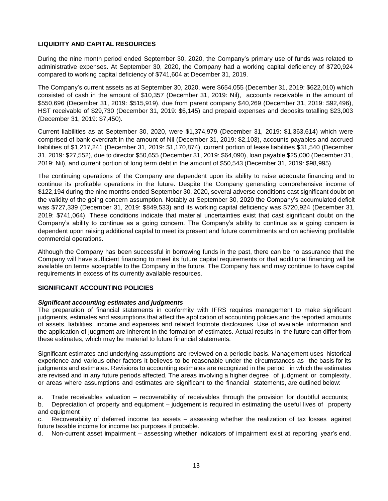# **LIQUIDITY AND CAPITAL RESOURCES**

During the nine month period ended September 30, 2020, the Company's primary use of funds was related to administrative expenses. At September 30, 2020, the Company had a working capital deficiency of \$720,924 compared to working capital deficiency of \$741,604 at December 31, 2019.

The Company's current assets as at September 30, 2020, were \$654,055 (December 31, 2019: \$622,010) which consisted of cash in the amount of \$10,357 (December 31, 2019: Nil), accounts receivable in the amount of \$550,696 (December 31, 2019: \$515,919), due from parent company \$40,269 (December 31, 2019: \$92,496), HST receivable of \$29,730 (December 31, 2019: \$6,145) and prepaid expenses and deposits totalling \$23,003 (December 31, 2019: \$7,450).

Current liabilities as at September 30, 2020, were \$1,374,979 (December 31, 2019: \$1,363,614) which were comprised of bank overdraft in the amount of Nil (December 31, 2019: \$2,103), accounts payables and accrued liabilities of \$1,217,241 (December 31, 2019: \$1,170,874), current portion of lease liabilities \$31,540 (December 31, 2019: \$27,552), due to director \$50,655 (December 31, 2019: \$64,090), loan payable \$25,000 (December 31, 2019: Nil), and current portion of long term debt in the amount of \$50,543 (December 31, 2019: \$98,995).

The continuing operations of the Company are dependent upon its ability to raise adequate financing and to continue its profitable operations in the future. Despite the Company generating comprehensive income of \$122,194 during the nine months ended September 30, 2020, several adverse conditions cast significant doubt on the validity of the going concern assumption. Notably at September 30, 2020 the Company's accumulated deficit was \$727,339 (December 31, 2019: \$849,533) and its working capital deficiency was \$720,924 (December 31, 2019: \$741,064). These conditions indicate that material uncertainties exist that cast significant doubt on the Company's ability to continue as a going concern. The Company's ability to continue as a going concern is dependent upon raising additional capital to meet its present and future commitments and on achieving profitable commercial operations.

Although the Company has been successful in borrowing funds in the past, there can be no assurance that the Company will have sufficient financing to meet its future capital requirements or that additional financing will be available on terms acceptable to the Company in the future. The Company has and may continue to have capital requirements in excess of its currently available resources.

# **SIGNIFICANT ACCOUNTING POLICIES**

# *Significant accounting estimates and judgments*

The preparation of financial statements in conformity with IFRS requires management to make significant judgments, estimates and assumptions that affect the application of accounting policies and the reported amounts of assets, liabilities, income and expenses and related footnote disclosures. Use of available information and the application of judgment are inherent in the formation of estimates. Actual results in the future can differ from these estimates, which may be material to future financial statements.

Significant estimates and underlying assumptions are reviewed on a periodic basis. Management uses historical experience and various other factors it believes to be reasonable under the circumstances as the basis for its judgments and estimates. Revisions to accounting estimates are recognized in the period in which the estimates are revised and in any future periods affected. The areas involving a higher degree of judgment or complexity, or areas where assumptions and estimates are significant to the financial statements, are outlined below:

a. Trade receivables valuation – recoverability of receivables through the provision for doubtful accounts;

b. Depreciation of property and equipment – judgement is required in estimating the useful lives of property and equipment

c. Recoverability of deferred income tax assets – assessing whether the realization of tax losses against future taxable income for income tax purposes if probable.

d. Non-current asset impairment – assessing whether indicators of impairment exist at reporting year's end.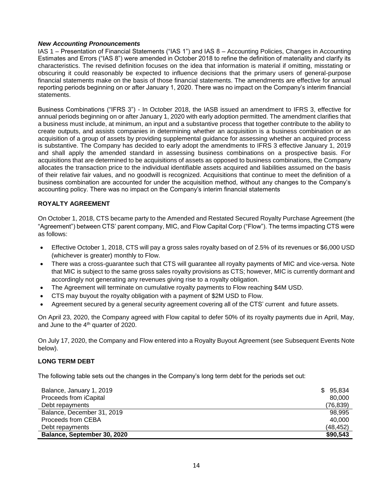# *New Accounting Pronouncements*

IAS 1 – Presentation of Financial Statements ("IAS 1") and IAS 8 – Accounting Policies, Changes in Accounting Estimates and Errors ("IAS 8") were amended in October 2018 to refine the definition of materiality and clarify its characteristics. The revised definition focuses on the idea that information is material if omitting, misstating or obscuring it could reasonably be expected to influence decisions that the primary users of general-purpose financial statements make on the basis of those financial statements. The amendments are effective for annual reporting periods beginning on or after January 1, 2020. There was no impact on the Company's interim financial statements.

Business Combinations ("IFRS 3") - In October 2018, the IASB issued an amendment to IFRS 3, effective for annual periods beginning on or after January 1, 2020 with early adoption permitted. The amendment clarifies that a business must include, at minimum, an input and a substantive process that together contribute to the ability to create outputs, and assists companies in determining whether an acquisition is a business combination or an acquisition of a group of assets by providing supplemental guidance for assessing whether an acquired process is substantive. The Company has decided to early adopt the amendments to IFRS 3 effective January 1, 2019 and shall apply the amended standard in assessing business combinations on a prospective basis. For acquisitions that are determined to be acquisitions of assets as opposed to business combinations, the Company allocates the transaction price to the individual identifiable assets acquired and liabilities assumed on the basis of their relative fair values, and no goodwill is recognized. Acquisitions that continue to meet the definition of a business combination are accounted for under the acquisition method, without any changes to the Company's accounting policy. There was no impact on the Company's interim financial statements

# **ROYALTY AGREEMENT**

On October 1, 2018, CTS became party to the Amended and Restated Secured Royalty Purchase Agreement (the "Agreement") between CTS' parent company, MIC, and Flow Capital Corp ("Flow"). The terms impacting CTS were as follows:

- Effective October 1, 2018, CTS will pay a gross sales royalty based on of 2.5% of its revenues or \$6,000 USD (whichever is greater) monthly to Flow.
- There was a cross-guarantee such that CTS will guarantee all royalty payments of MIC and vice-versa. Note that MIC is subject to the same gross sales royalty provisions as CTS; however, MIC is currently dormant and accordingly not generating any revenues giving rise to a royalty obligation.
- The Agreement will terminate on cumulative royalty payments to Flow reaching \$4M USD.
- CTS may buyout the royalty obligation with a payment of \$2M USD to Flow.
- Agreement secured by a general security agreement covering all of the CTS' current and future assets.

On April 23, 2020, the Company agreed with Flow capital to defer 50% of its royalty payments due in April, May, and June to the 4<sup>th</sup> quarter of 2020.

On July 17, 2020, the Company and Flow entered into a Royalty Buyout Agreement (see Subsequent Events Note below).

# **LONG TERM DEBT**

The following table sets out the changes in the Company's long term debt for the periods set out:

| Balance, January 1, 2019    | \$95,834 |
|-----------------------------|----------|
| Proceeds from iCapital      | 80,000   |
| Debt repayments             | (76,839) |
| Balance, December 31, 2019  | 98.995   |
| Proceeds from CEBA          | 40,000   |
| Debt repayments             | (48,452) |
| Balance, September 30, 2020 | \$90,543 |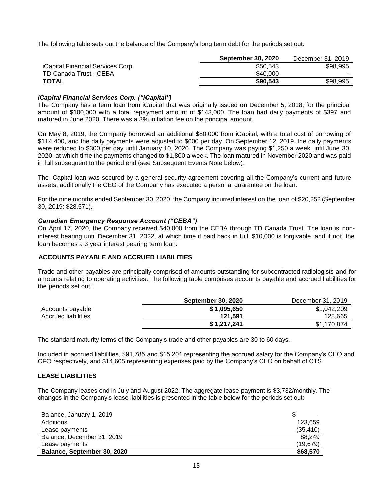The following table sets out the balance of the Company's long term debt for the periods set out:

|                                          | <b>September 30, 2020</b> | December 31, 2019 |
|------------------------------------------|---------------------------|-------------------|
| <i>iCapital Financial Services Corp.</i> | \$50,543                  | \$98.995          |
| TD Canada Trust - CEBA                   | \$40,000                  |                   |
| <b>TOTAL</b>                             | \$90,543                  | \$98.995          |

# *iCapital Financial Services Corp. ("iCapital")*

The Company has a term loan from iCapital that was originally issued on December 5, 2018, for the principal amount of \$100,000 with a total repayment amount of \$143,000. The loan had daily payments of \$397 and matured in June 2020. There was a 3% initiation fee on the principal amount.

On May 8, 2019, the Company borrowed an additional \$80,000 from iCapital, with a total cost of borrowing of \$114,400, and the daily payments were adjusted to \$600 per day. On September 12, 2019, the daily payments were reduced to \$300 per day until January 10, 2020. The Company was paying \$1,250 a week until June 30, 2020, at which time the payments changed to \$1,800 a week. The loan matured in November 2020 and was paid in full subsequent to the period end (see Subsequent Events Note below).

The iCapital loan was secured by a general security agreement covering all the Company's current and future assets, additionally the CEO of the Company has executed a personal guarantee on the loan.

For the nine months ended September 30, 2020, the Company incurred interest on the loan of \$20,252 (September 30, 2019: \$28,571).

# *Canadian Emergency Response Account ("CEBA")*

On April 17, 2020, the Company received \$40,000 from the CEBA through TD Canada Trust. The loan is noninterest bearing until December 31, 2022, at which time if paid back in full, \$10,000 is forgivable, and if not, the loan becomes a 3 year interest bearing term loan.

# **ACCOUNTS PAYABLE AND ACCRUED LIABILITIES**

Trade and other payables are principally comprised of amounts outstanding for subcontracted radiologists and for amounts relating to operating activities. The following table comprises accounts payable and accrued liabilities for the periods set out:

|                            | <b>September 30, 2020</b> | December 31, 2019 |
|----------------------------|---------------------------|-------------------|
| Accounts payable           | \$1,095,650               | \$1,042,209       |
| <b>Accrued liabilities</b> | 121.591                   | 128.665           |
|                            | \$1,217,241               | \$1,170,874       |

The standard maturity terms of the Company's trade and other payables are 30 to 60 days.

Included in accrued liabilities, \$91,785 and \$15,201 representing the accrued salary for the Company's CEO and CFO respectively, and \$14,605 representing expenses paid by the Company's CFO on behalf of CTS.

# **LEASE LIABILITIES**

The Company leases end in July and August 2022. The aggregate lease payment is \$3,732/monthly. The changes in the Company's lease liabilities is presented in the table below for the periods set out:

| Balance, January 1, 2019    |           |
|-----------------------------|-----------|
| Additions                   | 123.659   |
| Lease payments              | (35, 410) |
| Balance, December 31, 2019  | 88.249    |
| Lease payments              | (19.679)  |
| Balance, September 30, 2020 | \$68,570  |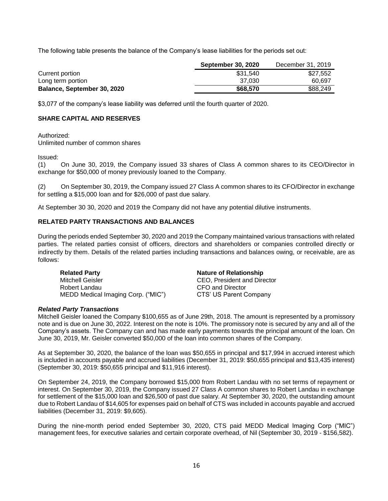The following table presents the balance of the Company's lease liabilities for the periods set out:

|                             | <b>September 30, 2020</b> | December 31, 2019 |
|-----------------------------|---------------------------|-------------------|
| Current portion             | \$31.540                  | \$27,552          |
| Long term portion           | 37.030                    | 60.697            |
| Balance, September 30, 2020 | \$68,570                  | \$88,249          |

\$3,077 of the company's lease liability was deferred until the fourth quarter of 2020.

# **SHARE CAPITAL AND RESERVES**

Authorized:

Unlimited number of common shares

Issued:

(1) On June 30, 2019, the Company issued 33 shares of Class A common shares to its CEO/Director in exchange for \$50,000 of money previously loaned to the Company.

(2) On September 30, 2019, the Company issued 27 Class A common shares to its CFO/Director in exchange for settling a \$15,000 loan and for \$26,000 of past due salary.

At September 30 30, 2020 and 2019 the Company did not have any potential dilutive instruments.

# **RELATED PARTY TRANSACTIONS AND BALANCES**

During the periods ended September 30, 2020 and 2019 the Company maintained various transactions with related parties. The related parties consist of officers, directors and shareholders or companies controlled directly or indirectly by them. Details of the related parties including transactions and balances owing, or receivable, are as follows:

| <b>Related Party</b>               |  |
|------------------------------------|--|
| Mitchell Geisler                   |  |
| Robert Landau                      |  |
| MEDD Medical Imaging Corp. ("MIC") |  |

**Nature of Relationship** CEO, President and Director CFO and Director CTS' US Parent Company

#### *Related Party Transactions*

Mitchell Geisler loaned the Company \$100,655 as of June 29th, 2018. The amount is represented by a promissory note and is due on June 30, 2022. Interest on the note is 10%. The promissory note is secured by any and all of the Company's assets. The Company can and has made early payments towards the principal amount of the loan. On June 30, 2019, Mr. Geisler converted \$50,000 of the loan into common shares of the Company.

As at September 30, 2020, the balance of the loan was \$50,655 in principal and \$17,994 in accrued interest which is included in accounts payable and accrued liabilities (December 31, 2019: \$50,655 principal and \$13,435 interest) (September 30, 2019: \$50,655 principal and \$11,916 interest).

On September 24, 2019, the Company borrowed \$15,000 from Robert Landau with no set terms of repayment or interest. On September 30, 2019, the Company issued 27 Class A common shares to Robert Landau in exchange for settlement of the \$15,000 loan and \$26,500 of past due salary. At September 30, 2020, the outstanding amount due to Robert Landau of \$14,605 for expenses paid on behalf of CTS was included in accounts payable and accrued liabilities (December 31, 2019: \$9,605).

During the nine-month period ended September 30, 2020, CTS paid MEDD Medical Imaging Corp ("MIC") management fees, for executive salaries and certain corporate overhead, of Nil (September 30, 2019 - \$156,582).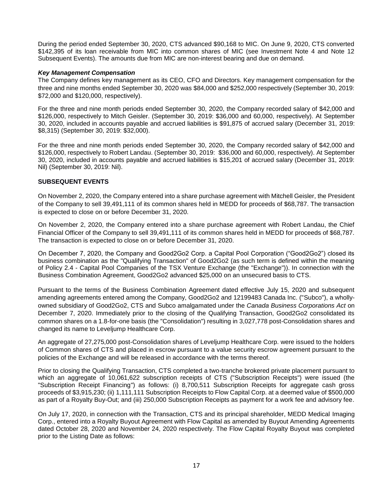During the period ended September 30, 2020, CTS advanced \$90,168 to MIC. On June 9, 2020, CTS converted \$142,395 of its loan receivable from MIC into common shares of MIC (see Investment Note 4 and Note 12 Subsequent Events). The amounts due from MIC are non-interest bearing and due on demand.

# *Key Management Compensation*

The Company defines key management as its CEO, CFO and Directors. Key management compensation for the three and nine months ended September 30, 2020 was \$84,000 and \$252,000 respectively (September 30, 2019: \$72,000 and \$120,000, respectively).

For the three and nine month periods ended September 30, 2020, the Company recorded salary of \$42,000 and \$126,000, respectively to Mitch Geisler. (September 30, 2019: \$36,000 and 60,000, respectively). At September 30, 2020, included in accounts payable and accrued liabilities is \$91,875 of accrued salary (December 31, 2019: \$8,315) (September 30, 2019: \$32,000).

For the three and nine month periods ended September 30, 2020, the Company recorded salary of \$42,000 and \$126,000, respectively to Robert Landau. (September 30, 2019: \$36,000 and 60,000, respectively). At September 30, 2020, included in accounts payable and accrued liabilities is \$15,201 of accrued salary (December 31, 2019: Nil) (September 30, 2019: Nil).

# **SUBSEQUENT EVENTS**

On November 2, 2020, the Company entered into a share purchase agreement with Mitchell Geisler, the President of the Company to sell 39,491,111 of its common shares held in MEDD for proceeds of \$68,787. The transaction is expected to close on or before December 31, 2020.

On November 2, 2020, the Company entered into a share purchase agreement with Robert Landau, the Chief Financial Officer of the Company to sell 39,491,111 of its common shares held in MEDD for proceeds of \$68,787. The transaction is expected to close on or before December 31, 2020.

On December 7, 2020, the Company and Good2Go2 Corp. a Capital Pool Corporation ("Good2Go2") closed its business combination as the "Qualifying Transaction" of Good2Go2 (as such term is defined within the meaning of Policy 2.4 - Capital Pool Companies of the TSX Venture Exchange (the "Exchange")). In connection with the Business Combination Agreement, Good2Go2 advanced \$25,000 on an unsecured basis to CTS.

Pursuant to the terms of the Business Combination Agreement dated effective July 15, 2020 and subsequent amending agreements entered among the Company, Good2Go2 and 12199483 Canada Inc. ("Subco"), a whollyowned subsidiary of Good2Go2, CTS and Subco amalgamated under the *Canada Business Corporations Act* on December 7, 2020. Immediately prior to the closing of the Qualifying Transaction, Good2Go2 consolidated its common shares on a 1.8-for-one basis (the "Consolidation") resulting in 3,027,778 post-Consolidation shares and changed its name to Leveljump Healthcare Corp.

An aggregate of 27,275,000 post-Consolidation shares of Leveljump Healthcare Corp. were issued to the holders of Common shares of CTS and placed in escrow pursuant to a value security escrow agreement pursuant to the policies of the Exchange and will be released in accordance with the terms thereof.

Prior to closing the Qualifying Transaction, CTS completed a two-tranche brokered private placement pursuant to which an aggregate of 10,061,622 subscription receipts of CTS ("Subscription Receipts") were issued (the "Subscription Receipt Financing") as follows: (i) 8,700,511 Subscription Receipts for aggregate cash gross proceeds of \$3,915,230; (ii) 1,111,111 Subscription Receipts to Flow Capital Corp. at a deemed value of \$500,000 as part of a Royalty Buy-Out; and (iii) 250,000 Subscription Receipts as payment for a work fee and advisory fee.

On July 17, 2020, in connection with the Transaction, CTS and its principal shareholder, MEDD Medical Imaging Corp., entered into a Royalty Buyout Agreement with Flow Capital as amended by Buyout Amending Agreements dated October 28, 2020 and November 24, 2020 respectively. The Flow Capital Royalty Buyout was completed prior to the Listing Date as follows: